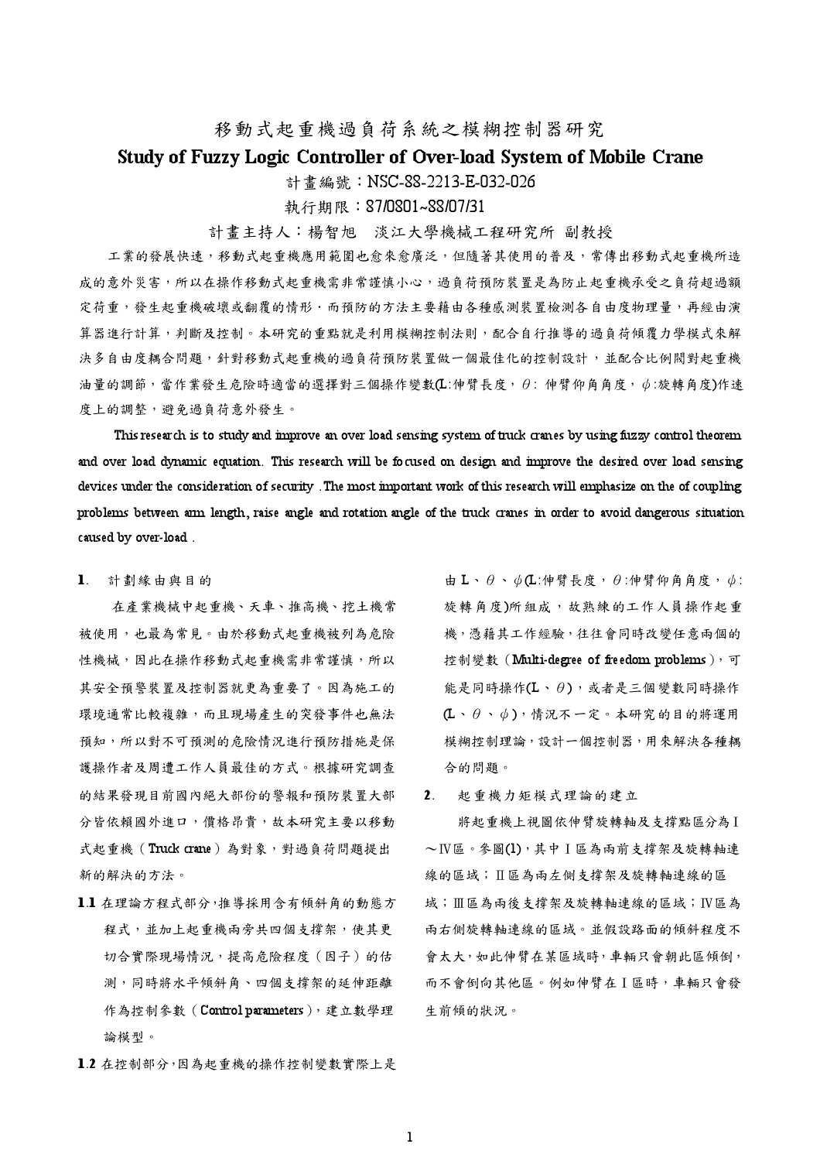# 移動式起重機過負荷系統之模糊控制器研究

## Study of Fuzzy Logic Controller of Over-load System of Mobile Crane

計書編號: NSC-88-2213-E-032-026

執行期限: 87/0801~88/07/31

計書主持人:楊智旭 淡江大學機械工程研究所 副教授

工業的發展快速,移動式起重機應用範圍也愈來愈廣泛,但隨著其使用的普及,常傳出移動式起重機所造 成的意外災害,所以在操作移動式起重機需非常謹慎小心,過負荷預防裝置是為防止起重機承受之負荷超過額 定荷重,發生起重機破壞或翻覆的情形·而預防的方法主要藉由各種感測裝置檢測各自由度物理量,再經由演 算器進行計算,判斷及控制。本研究的重點就是利用模糊控制法則,配合自行推導的過負荷傾覆力學模式來解 決多自由度耦合問題,針對移動式起重機的過負荷預防裝置做一個最佳化的控制設計,並配合比例閥對起重機 油量的調節,當作業發生危險時適當的選擇對三個操作變數(L:伸臂長度,θ:伸臂仰角角度,Φ:旋轉角度)作速 度上的調整,避免過負荷意外發生。

This research is to study and improve an over load sensing system of truck cranes by using fuzzy control theorem and over load dynamic equation. This research will be focused on design and improve the desired over load sensing devices under the consideration of security. The most important work of this research will emphasize on the of coupling problems between arm length, raise angle and rotation angle of the truck cranes in order to avoid dangerous situation caused by over-load.

### 1. 計劃緣由與目的

在產業機械中起重機、天車、推高機、挖土機常 被使用,也最為常見。由於移動式起重機被列為危險 性機械,因此在操作移動式起重機需非常謹慎,所以 其安全預警裝置及控制器就更為重要了。因為施工的 環境通常比較複雜,而且現場產生的突發事件也無法 預知,所以對不可預測的危險情況進行預防措施是保 護操作者及周遭工作人員最佳的方式。根據研究調查 的結果發現目前國內絕大部份的警報和預防裝置大部 分皆依賴國外進口,價格昂貴,故本研究主要以移動 式起重機 (Truck crane)為對象,對過負荷問題提出 新的解決的方法。

1.1 在理論方程式部分,推導採用含有傾斜角的動態方 程式,並加上起重機兩旁共四個支撐架,使其更 切合實際現場情況,提高危險程度(因子)的估 測,同時將水平傾斜角、四個支撐架的延伸距離 作為控制參數 (Control parameters), 建立數學理 論模型。

1.2 在控制部分,因為起重機的操作控制變數實際上是

由 L、θ、ψ(L:伸臂長度, θ:伸臂仰角角度, ψ: 旋轉角度)所組成,故熟練的工作人員操作起重 機,憑藉其工作經驗,往往會同時改變任意兩個的 控制變數 (Multi-degree of freedom problems), 可 能是同時操作(L、θ),或者是三個變數同時操作  $(L \cdot \theta \cdot \phi)$ , 情況不一定。本研究的目的將運用 模糊控制理論,設計一個控制器,用來解決各種耦 合的問題。

起重機力矩模式理論的建立  $2<sup>1</sup>$ 

將起重機上視圖依伸臂旋轉軸及支撐點區分為I ~IV區。參圖(1),其中I區為兩前支撐架及旋轉軸連 線的區域;Ⅱ區為兩左側支撐架及旋轉軸連線的區 域;Ⅲ區為兩後支撐架及旋轉軸連線的區域;Ⅳ區為 兩右側旋轉軸連線的區域。並假設路面的傾斜程度不 會太大, 如此伸臂在某區域時, 車輛只會朝此區傾倒, 而不會倒向其他區。例如伸臂在 ] 區時, 車輛只會發 生前傾的狀況。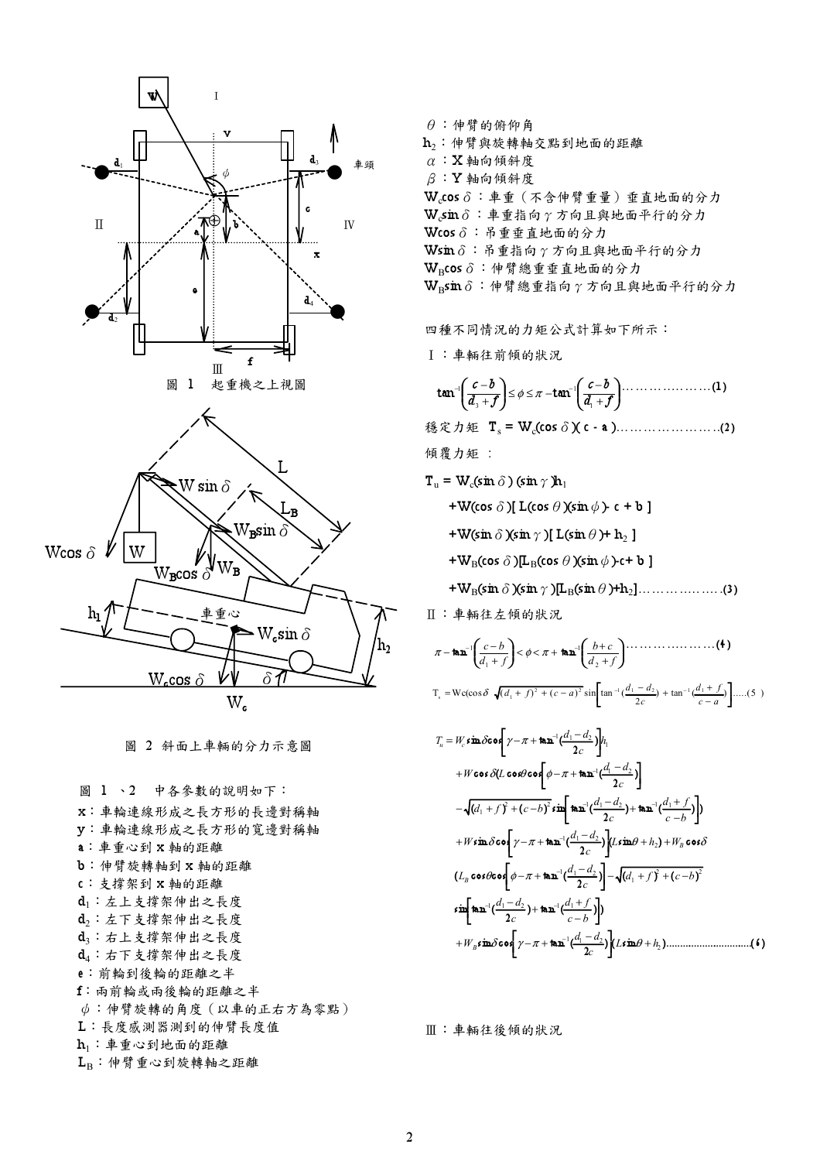

圖 2 斜面上車輛的分力示意圖

圖 1、2 中各參數的說明如下: x:車輪連線形成之長方形的長邊對稱軸 y:車輪連線形成之長方形的寬邊對稱軸 a:車重心到 x 軸的距離 b: 伸臂旋轉軸到 x 軸的距離 c:支撑架到 x 軸的距離 di: 左上支撑架伸出之長度 d2: 左下支撐架伸出之長度 d3:右上支撐架伸出之長度 d4:右下支撐架伸出之長度 e: 前輪到後輪的距離之半 f: 兩前輪或兩後輪的距離之半 ψ:伸臂旋轉的角度(以車的正右方為零點) L:長度感測器測到的伸臂長度值 h1: 車重心到地面的距離  $L_B$ : 伸臂重心到旋轉軸之距離

 $\theta$ :伸臂的俯仰角 h2: 伸臂與旋轉軸交點到地面的距離  $\alpha$ : X 軸向傾斜度  $\beta$ : Y 軸向傾斜度 W.cos δ: 車重 (不含伸臂重量) 垂直地面的分力  $W_c$ sin δ: 車重指向 γ 方向且與地面平行的分力  $W$ cos  $\delta$ : 吊重垂直地面的分力 Wsin δ: 吊重指向 γ 方向且與地面平行的分力  $W_B$ cos δ: 伸臂總重垂直地面的分力  $W_R$ sin δ: 伸臂總重指向 γ 方向且與地面平行的分力

四種不同情況的力矩公式計算如下所示:

**I:車輛往前傾的狀況** 

$$
\tan^{-1}\left(\frac{c-b}{d_3+f}\right) \leq \phi \leq \pi - \tan^{-1}\left(\frac{c-b}{d_1+f}\right) \cdots \cdots \cdots \cdots \cdots (1)
$$

穩定力矩 T<sub>s</sub> = W<sub>c</sub>(cos δ)(c - a ).........................(2)

傾覆力矩:

$$
\mathbf{T}_{\mathrm{u}} = \mathbf{W}_{\mathrm{c}}(\sin \delta) (\sin \gamma) \mathbf{h}_{1}
$$

+W(cos  $\delta$ )[L(cos  $\theta$ )(sin  $\phi$ ) c + b ]

- +W(sin  $\delta$ )(sin  $\gamma$ )[L(sin  $\theta$ )+h<sub>2</sub>]
- + $W_B$ (cos  $\delta$ )[L<sub>B</sub>(cos  $\theta$ )(sin  $\phi$ )-c+ b]
- 

Ⅱ:車輛往左傾的狀況

$$
\pi - \tan^{-1}\left(\frac{c-b}{d_1+f}\right) < \phi < \pi + \tan^{-1}\left(\frac{b+c}{d_2+f}\right) \cdots \cdots \cdots \cdots \cdots \cdots \left(\frac{4}{b}\right)
$$
  
\n
$$
T_s = Wc(\cos\delta - \sqrt{(d_1+f)^2 + (c-a)^2} \sin\left[\tan^{-1}\left(\frac{d_1-d_2}{2c}\right) + \tan^{-1}\left(\frac{d_1+f_2}{c-a}\right)\right] \cdots \cdots \left(\frac{5}{b}\right)
$$

$$
T_u = W_c \sin \delta \cos \left[\gamma - \pi + \tan^{-1}\left(\frac{d_1 - d_2}{2c}\right)\right] h_1
$$
  
+ 
$$
W \cos \delta (L \cos \theta \cos \left[\phi - \pi + \tan^{-1}\left(\frac{d_1 - d_2}{2c}\right)\right]
$$
  
-
$$
\sqrt{\left(d_1 + f\right)^2 + \left(c - b\right)^2} \sin \left[\tan^{-1}\left(\frac{d_1 - d_2}{2c}\right) + \tan^{-1}\left(\frac{d_1 + f}{c - b}\right)\right])
$$
  
+ 
$$
W \sin \delta \cos \left[\gamma - \pi + \tan^{-1}\left(\frac{d_1 - d_2}{2c}\right)\right] \left(L \sin \theta + h_2\right) + W_B \cos \delta
$$
  

$$
\left(L_B \cos \theta \cos \left[\phi - \pi + \tan^{-1}\left(\frac{d_1 - d_2}{2c}\right)\right] - \sqrt{\left(d_1 + f\right)^2 + \left(c - b\right)^2}
$$
  

$$
\sin \left[\tan^{-1}\left(\frac{d_1 - d_2}{2c}\right) + \tan^{-1}\left(\frac{d_1 + f}{c - b}\right)\right])
$$
  
+ 
$$
W_B \sin \delta \cos \left[\gamma - \pi + \tan^{-1}\left(\frac{d_1 - d_2}{2c}\right)\right] L \sin \theta + h_2 \right) \dots
$$

Ⅲ: 車輛往後傾的狀況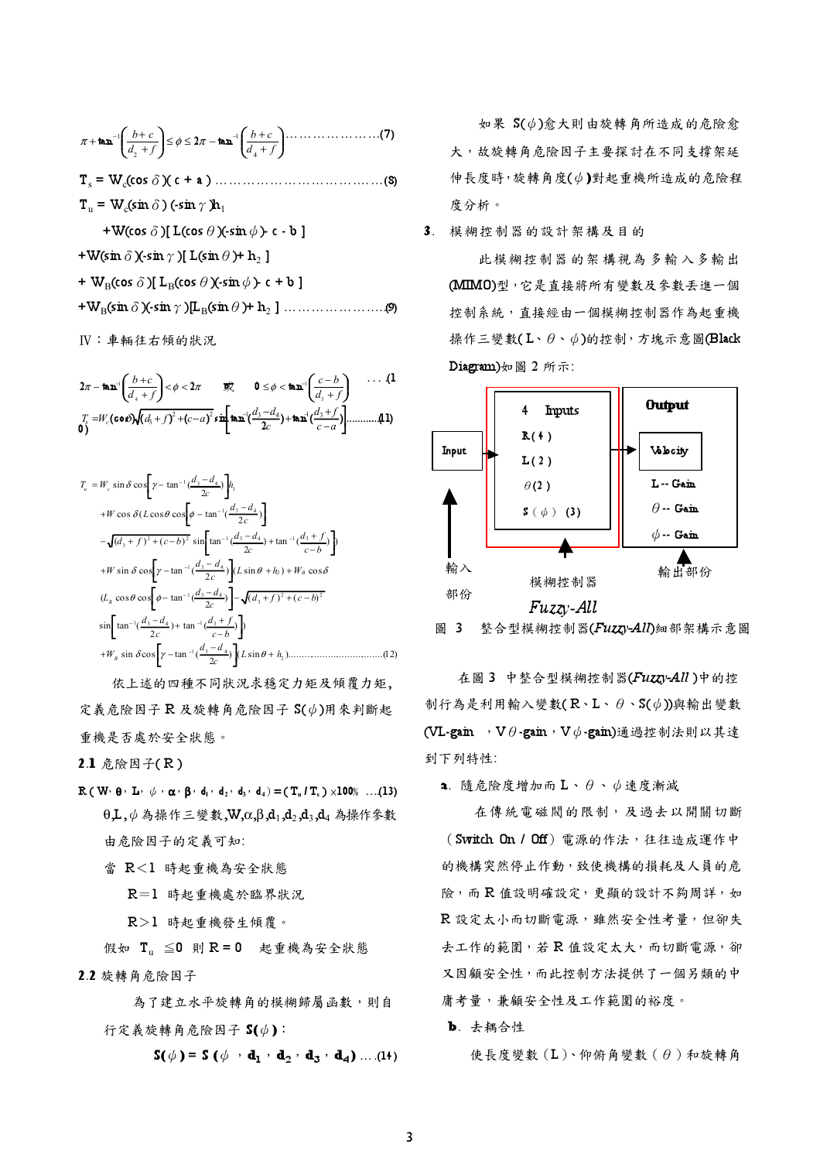+ <sup>+</sup> <sup>≤</sup> <sup>≤</sup> <sup>−</sup> + <sup>+</sup> <sup>+</sup> <sup>−</sup> <sup>−</sup> d f b c d f b c 4 1 2 1 <sup>π</sup> tan <sup>φ</sup> <sup>2</sup><sup>π</sup> tan ………………...(7) Ts = Wc(cos)( c + a ) ………………………….……(8) Tu = Wc(sin) (-sin)h<sup>1</sup> +W(cos)[ L(cos)(-sin)- c - b ] +W(sin)(-sin)[ L(sin)+ h2 ] + WB(cos)[ LB(cos)(-sin)- c + b ]

+WB(sin)(-sin)[LB(sin)+ h2 ] ……………….....(9)

IV: 車輛往右傾的狀況

 + <sup>−</sup> <sup>&</sup>lt; <sup>&</sup>lt; <sup>≤</sup> <sup>&</sup>lt; + <sup>+</sup> <sup>−</sup> <sup>−</sup> <sup>−</sup> d f c b d f b c 3 1 4 <sup>1</sup> <sup>2</sup><sup>π</sup> tan <sup>φ</sup> <sup>2</sup><sup>π</sup> <sup>0</sup> <sup>φ</sup> tan ….(1 0) ) tan ( ) ............(11) <sup>2</sup> (cos) ( ) ( ) sin tan ( <sup>2</sup> <sup>2</sup> <sup>1</sup> <sup>3</sup> <sup>4</sup> <sup>1</sup> <sup>3</sup> <sup>3</sup> − <sup>+</sup> <sup>+</sup> <sup>−</sup> <sup>=</sup> <sup>+</sup> <sup>+</sup> <sup>−</sup> <sup>−</sup> <sup>−</sup> c a d f c <sup>d</sup> <sup>d</sup> <sup>T</sup><sup>s</sup> <sup>W</sup><sup>c</sup> <sup>δ</sup> <sup>d</sup> <sup>f</sup> <sup>c</sup> <sup>a</sup>

$$
T_u = W_c \sin \delta \cos \left[ \gamma - \tan^{-1} \frac{d_3 - d_4}{2c} \right] h_1
$$
  
+  $W \cos \delta (L \cos \theta \cos \left[ \phi - \tan^{-1} \frac{d_3 - d_4}{2c} \right] )$   
-  $\sqrt{(d_3 + f)^2 + (c - b)^2} \sin \left[ \tan^{-1} \frac{d_3 - d_4}{2c} \right) + \tan^{-1} \frac{d_3 + f}{c - b} \right]$   
+  $W \sin \delta \cos \left[ \gamma - \tan^{-1} \frac{d_3 - d_4}{2c} \right] (L \sin \theta + h_2) + W_B \cos \delta$   
 $(L_B \cos \theta \cos \left[ \phi - \tan^{-1} \frac{d_3 - d_4}{2c} \right] - \sqrt{(d_3 + f)^2 + (c - b)^2}$   
 $\sin \left[ \tan^{-1} \frac{d_3 - d_4}{2c} \right) + \tan^{-1} \frac{d_3 + f}{c - b} \right]$   
+  $W_B \sin \delta \cos \left[ \gamma - \tan^{-1} \frac{d_3 - d_4}{2c} \right] (L \sin \theta + h_2) \dots$ ...(12)

依上述的四種不同狀況求穩定力矩及傾覆力矩, 定義危險因子  $R$  及旋轉角危險因子  $S(\phi)$ 用來判斷起 重機是否處於安全狀態。

2.1 危險因子(R)

- $\mathbb{R}$  (W<sub>'</sub>  $\theta$ , L<sub>'</sub>  $\phi$  ,  $\alpha$ ,  $\beta$ ,  $d_1$ ,  $d_2$ ,  $d_3$ ,  $d_4$ ) = (T<sub>u</sub> / T<sub>s</sub>) × 100% ...(13)  $\theta$ ,L, $\phi$  為操作三變數,W,α,β,d<sub>1</sub>,d<sub>2</sub>,d<sub>3</sub>,d<sub>4</sub> 為操作參數 由危險因子的定義可知:
	- 當 R<1 時起重機為安全狀態

R=1 時起重機處於臨界狀況

- $R > l$  時起重機發生傾覆。
- 假如  $T_{\text{u}} \leq 0$  則 R = 0 起重機為安全狀態  $2.2$  旋轉角危险因子

為了建立水平旋轉角的模糊歸屬函數,則自 行定義旋轉角危險因子  $S(\phi)$ :

 $S(\phi) = S(\phi \cdot \mathbf{d}_1 \cdot \mathbf{d}_2 \cdot \mathbf{d}_3 \cdot \mathbf{d}_4) \dots (14)$ 

如果 S(Φ)愈大則由旋轉角所造成的危險愈 大,故旋轉角危險因子主要探討在不同支撐架延 伸長度時, 旋轉角度(()對起重機所造成的危險程 度分析。

3. 模糊控制器的設計架構及目的

此模糊控制器的架構視為多輸入多輸出 (MIMO)型,它是直接將所有變數及參數丢進一個 控制系統,直接經由一個模糊控制器作為起重機 操作三變數(L、θ、ψ)的控制, 方塊示意圖(Black Diagram)如圖 2 所示:



圖 3 整合型模糊控制器(Fuzzy-All) 细部架構示意圖

在圖 3 中整合型模糊控制器(Fuzzy-All)中的控 制行為是利用輸入變數( $R\cdot L\cdot\theta\cdot S(\phi)$ 與輸出變數 (VL-gain  $\nabla\theta$ -gain,  $\nabla\phi$ -gain)通過控制法則以其達 到下列特性:

a. 隨危險度增加而 $L \cdot \theta \cdot \phi$ 速度漸減

在傳統電磁閥的限制,及過去以開關切斷  $($  Switch On / Off $)$  電源的作法, 往往造成運作中 的機構突然停止作動,致使機構的損耗及人員的危 險,而R值設明確設定,更顯的設計不夠周詳,如 R 設定太小而切斷電源,雖然安全性考量,但卻失 去工作的範圍,若R值設定太大,而切斷電源,卻 又因顧安全性,而此控制方法提供了一個另類的中 庸考量,兼顧安全性及工作範圍的裕度。

b. 去耦合性

 $\phi \notin \mathbb{R}$ 變數 $(L)$ 、仰俯角變數 $(\theta)$ 和旋轉角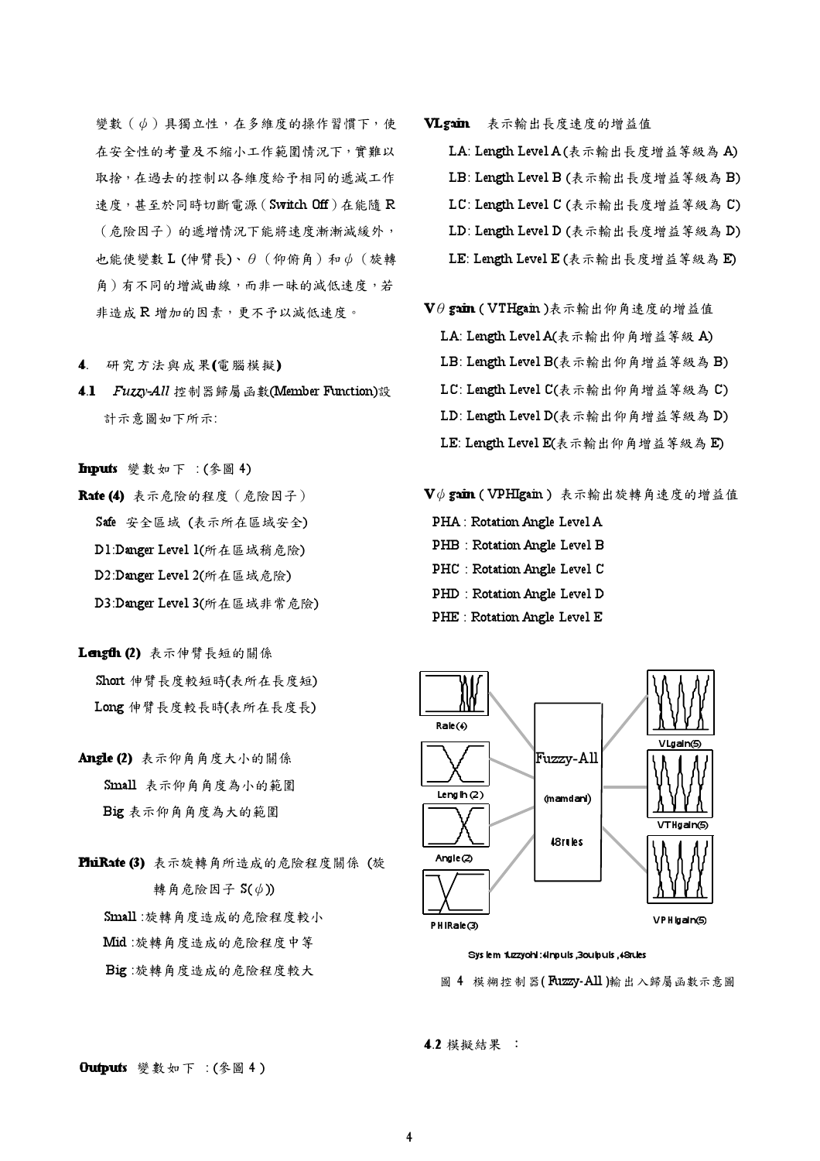變數 ( ψ ) 具獨立性, 在多維度的操作習慣下, 使 在安全性的考量及不缩小工作範圍情況下,實難以 取捨,在過去的控制以各維度給予相同的遞減工作 速度, 甚至於同時切斷電源 (Switch Off) 在能隨 R (危險因子)的遞增情況下能將速度漸漸減緩外, 也能使變數 L (伸臂長)、 $\theta$  (仰俯角) 和<br/> $\phi$  (旋轉 角)有不同的增減曲線,而非一昧的減低速度,若 非造成 R 增加的因素,更不予以減低速度。

- 4. 研究方法與成果(電腦模擬)
- 4.1 *Fuzzy-All* 控制器歸屬函數(Member Function)設 計示意圖如下所示:
- Inputs 變數如下 : (參圖 4)
- Rate (4) 表示危險的程度 (危險因子)  $S$ afe  $\circledast$   $\circledast$   $E$   $\circledast$   $(K, \pi)$   $\circledast$   $(K, \pi)$   $(K, \pi)$ D1:Danger Level 1(所在區域稍危險) D2:Danger Level 2(所在區域危險) D3:Danger Level 3(所在區域非常危險)
- Length  $(2)$  表示伸臂長短的關係  $\text{Short}$  伸臂長度較短時(表所在長度短) Long 伸臂長度較長時(表所在長度長)
- Angle (2) 表示仰角角度大小的關係 Small 表示仰角角度為小的範圍 Big 表示仰角角度為大的範圍
- PhiRate (3) 表示旋轉角所造成的危險程度關係(旋 轉角危險因子  $S(\phi)$ )  $Sumall:$ 旋轉角度造成的危險程度較小 Mid:旋轉角度造成的危險程度中等 Big:旋轉角度造成的危險程度較大
- VLgain 表示輸出長度速度的增益值
	- LA: Length Level A (表示輸出長度增益等級為 A)
	- LB: Length Level B (表示輸出長度增益等級為 B)
	- LC: Length Level C (表示輸出長度增益等級為 C)
	- LD: Length Level D (表示輸出長度增益等級為 D)
	- LE: Length Level  $E$  (表示輸出長度增益等級為E)
- $\mathbf{V}\theta$  gain (  $\text{VTHgain}$  )表示輸出仰角速度的增益值 LA: Length Level A(表示輸出仰角增益等級 A) LB: Length Level B(表示輸出仰角增益等級為 B) LC: Length Level C(表示輸出仰角增益等級為 C) LD: Length Level D(表示輸出仰角增益等級為 D) LE: Length Level E(表示輸出仰角增益等級為E)

#### $\mathbf{V}\phi$  gain ( VPHIgain ) 表示輸出旋轉角速度的增益值

- PHA : Rotation Angle Level A
- PHB : Rotation Angle Level B
- PHC : Rotation Angle Level C
- PHD : Rotation Angle Level D
- PHE : Rotation Angle Level E



#### Sys lem fuzzyohi:4inpuls,3oulpuls,48rules

圖 4 模糊控制器(Fuzzy-All)輸出入歸屬函數示意圖

```
4.2 模擬結果 :
```
**Outputs** 變數如下 : (參圖 4)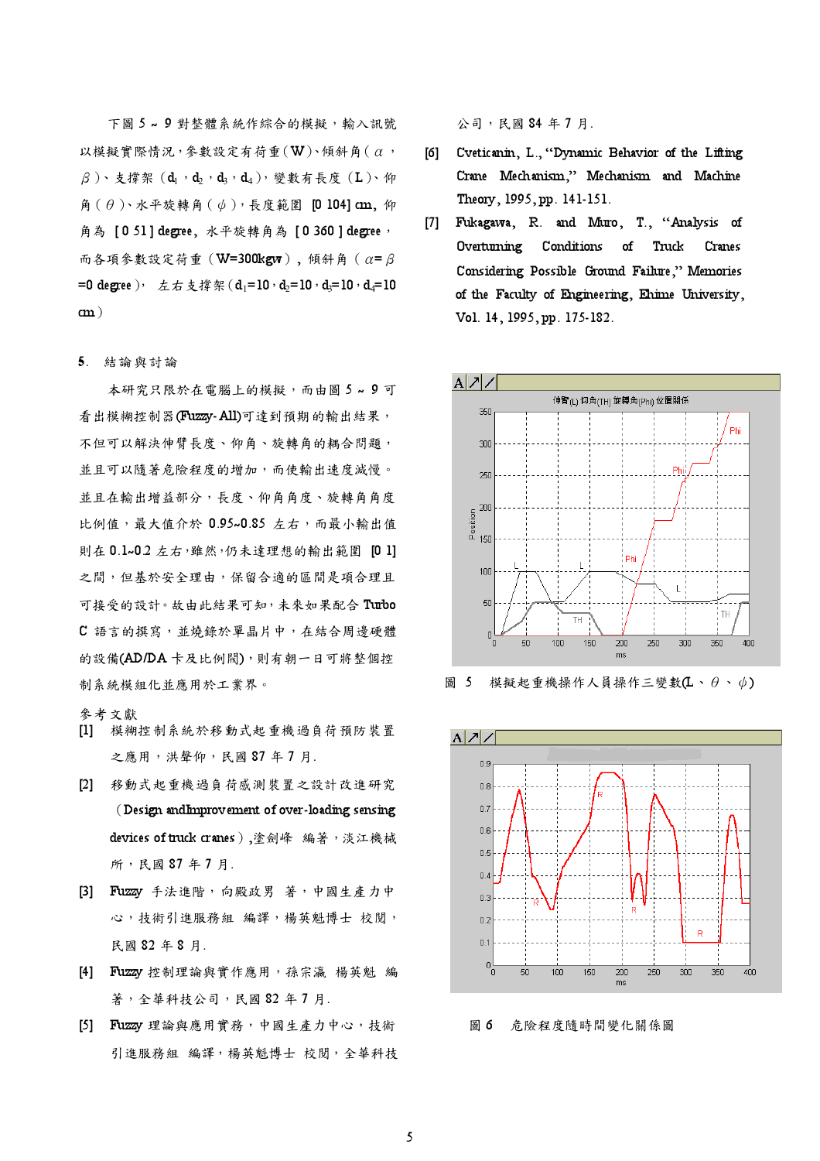下圖 5~9對整體系統作綜合的模擬,輸入訊號 以模擬實際情況,參數設定有荷重 (  $W$ )、傾斜角 (  $\alpha$ ,  $\beta$ )、支撑架 (d<sub>1</sub>,d<sub>2</sub>,d<sub>3</sub>,d<sub>4</sub>), 變數有長度 (L)、仰 角 (θ)、水平旋轉角 (ψ), 長度範圍 [0 104] cm, 仰 角為 [051] degree, 水平旋轉角為 [0360] degree, 而各項參數設定荷重 (W=300kgw), 傾斜角 (α=β =0 degree), 左右支撐架 (d<sub>1</sub>=10,d<sub>2</sub>=10,d<sub>2</sub>=10,d<sub>4</sub>=10  $\mathbf{cm}$ )

### 5. 結論與討論

本研究只限於在雷腦上的模擬,而由圖 5~9可 看出模糊控制器(Fuzzy-All)可達到預期的輸出結果, 不但可以解決伸臂長度、仰角、旋轉角的耦合問題, 並且可以隨著危險程度的增加,而使輸出速度減慢。 並且在輸出增益部分,長度、仰角角度、旋轉角角度 比例值,最大值介於 0.95~0.85 左右,而最小輸出值 則在 0.1~0.2 左右,雖然,仍未達理想的輸出範圍 [0 1] 之間,但基於安全理由,保留合適的區間是項合理且 可接受的設計。故由此結果可知,未來如果配合Turbo C 語言的撰寫,並燒錄於單晶片中,在結合周邊硬體 的設備(AD/DA卡及比例閥),則有朝一日可將整個控 制系統模組化並應用於工業界。

### 參考文獻

- [1] 模糊控制系統於移動式起重機過負荷預防裝置 之應用,洪聲仰,民國87年7月.
- [2] 移動式起重機過負荷感測裝置之設計改進研究 (Design and Improvement of over-loading sensing devices of truck cranes),塗劍峰 編著,淡江機械 所,民國87年7月.
- [3] Fuzzy 手法進階, 向殿政男 著, 中國生產力中 心,技術引進服務組 編譯,楊英魁博士 校閱, 民國 82年8月.
- [4] Fuzzy 控制理論與實作應用,孫宗瀛 楊英魁 編 著,全華科技公司,民國82年7月.
- [5] Fuzzy 理論與應用實務,中國生產力中心,技術 引進服務組 編譯,楊英魁博士 校閲,全華科技

公司,民國84年7月.

- Cveticanin, L., "Dynamic Behavior of the Lifting [6] Crane Mechanism," Mechanism and Machine Theory, 1995, pp. 141-151.
- Fukagawa, R. and Muro, T., "Analysis of  $[7]$ Overturning Conditions of Truck Cranes Considering Possible Ground Failure," Memories of the Faculty of Engineering, Ehime University, Vol. 14, 1995, pp. 175-182.



圖 5 模擬起重機操作人員操作三變數 $(L \cdot \theta \cdot \phi)$ 



圖 6 危險程度隨時間變化關係圖